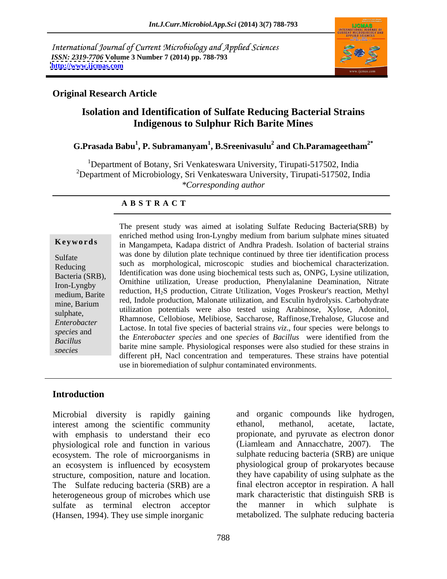International Journal of Current Microbiology and Applied Sciences *ISSN: 2319-7706* **Volume 3 Number 7 (2014) pp. 788-793 <http://www.ijcmas.com>**



### **Original Research Article**

# **Isolation and Identification of Sulfate Reducing Bacterial Strains Indigenous to Sulphur Rich Barite Mines**

## **G.Prasada Babu<sup>1</sup> , P. Subramanyam<sup>1</sup> , B.Sreenivasulu<sup>2</sup> and Ch.Paramageetham2\***

<sup>1</sup>Department of Botany, Sri Venkateswara University, Tirupati-517502, India <sup>2</sup>Department of Microbiology, Sri Venkateswara University, Tirupati-517502, India *\*Corresponding author* 

### **A B S T R A C T**

**Keywords** in Mangampeta, Kadapa district of Andhra Pradesh. Isolation of bacterial strains Sulfate was done by unufficient plate technique continued by the e-tier identification process Reducing such as morphological, microscopic studies and biochemical characterization. Bacteria (SRB), a contribution was done using prochemical tests such as, Oivet, Lysine unitzation, Iron-Lyngby Ornithine utilization, Urease production, Phenylalanine Deamination, Nitrate medium, Barite reduction, H2S production, Citrate Utilization, Voges Proskeur's reaction, Methyl mine, Barium and teat, mode production, maionale durization, and escum hydrolysis. Carbonyurate sulphate, utilization potentials were also tested using Arabinose, Xylose, Adonitol, *Enterobacter*  Rhamnose, Cellobiose, Melibiose, Saccharose, Raffinose,Trehalose, Glucose and *species* and Lactose. In total five species of bacterial strains *viz*., four species were belongs to *Bacillus*  the *Enterobacter species* and one *species* of *Bacillus* were identified from the species<br>different pH, Nacl concentration and temperatures. These strains have potential The present study was aimed at isolating Sulfate Reducing Bacteria(SRB) by enriched method using Iron-Lyngby medium from barium sulphate mines situated was done by dilution plate technique continued by three tier identification process Identification was done using biochemical tests such as, ONPG, Lysine utilization, red, Indole production, Malonate utilization, and Esculin hydrolysis. Carbohydrate barite mine sample. Physiological responses were also studied for these strains in use in bioremediation of sulphur contaminated environments.

### **Introduction**

interest among the scientific community ethanol, methanol, acetate, lactate, physiological role and function in various ecosystem. The role of microorganisms in an ecosystem is influenced by ecosystem structure, composition, nature and location. The Sulfate reducing bacteria (SRB) are a heterogeneous group of microbes which use mark characteristic that distinguish SR<br>sulfate as terminal electron acceptor the manner in which sulphate sulfate as terminal electron acceptor the manner in which sulphate is

Microbial diversity is rapidly gaining and organic compounds like hydrogen, with emphasis to understand their eco propionate, and pyruvate as electron donor (Hansen, 1994). They use simple inorganic metabolized. The sulphate reducing bacteria ethanol, methanol, acetate, lactate, (Liamleam and Annacchatre, 2007). The sulphate reducing bacteria (SRB) are unique physiological group of prokaryotes because they have capability of using sulphate as the final electron acceptor in respiration. A hall mark characteristic that distinguish SRB is the manner in which sulphate is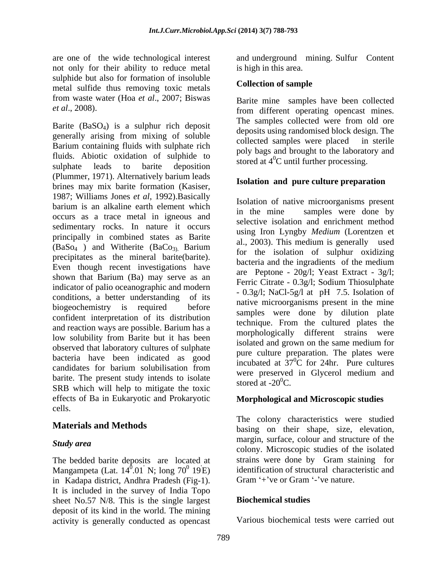not only for their ability to reduce metal sulphide but also for formation of insoluble<br> **Collection of sample** metal sulfide thus removing toxic metals from waste water (Hoa *et al*., 2007; Biswas

Barite  $(BaSO<sub>4</sub>)$  is a sulphur rich deposit generally arising from mixing of soluble<br>collected samples were placed in sterile Barium containing fluids with sulphate rich fluids. Abiotic oxidation of sulphide to sulphate leads to barite deposition  $\frac{1}{2}$  storm and  $\frac{1}{2}$  denotes the sulphate sulphate (Plummer, 1971). Alternatively barium leads brines may mix barite formation (Kasiser, 1987; Williams Jones *et al*, 1992).Basically barium is an alkaline earth element which<br>in the mine samples were done by occurs as a trace metal in igneous and sedimentary rocks. In nature it occurs principally in combined states as Barite  $(BaSo<sub>4</sub>)$  and Witherite  $(BaCo<sub>3</sub>)$ . Barium precipitates as the mineral barite(barite).<br>Even though recent investigations have  $\frac{1}{2}$  bacteria and the ingradients of the medium shown that Barium (Ba) may serve as an indicator of palio oceanographic and modern conditions, a better understanding of its biogeochemistry is required before confident interpretation of its distribution and reaction ways are possible. Barium has a low solubility from Barite but it has been observed that laboratory cultures of sulphate bacteria have been indicated as good candidates for barium solubilisation from  $\frac{1}{2}$  measured in Clynnel medium and barite. The present study intends to isolate  $\frac{\text{were}}{\text{stored at } -20^0\text{C}}$ . SRB which will help to mitigate the toxic effects of Ba in Eukaryotic and Prokaryotic cells.

The bedded barite deposits are located at Mangampeta (Lat.  $14^{\overline{0}}.01^{\overline{0}}$  N; long  $70^{\overline{0}}$  19 E) identification of structural charact<br>in Kadapa district Andhra Pradesh (Fig.1) Gram '+'ve or Gram '-'ve nature. in Kadapa district, Andhra Pradesh (Fig-1). It is included in the survey of India Topo sheet No.57 N/8. This is the single largest **Biochemical studies** deposit of its kind in the world. The mining activity is generally conducted as opencast

are one of the wide technological interest and underground mining. Sulfur Content is high in this area.

### **Collection of sample**

*et al*., 2008). from different operating opencast mines. Barite mine samples have been collected The samples collected were from old ore deposits using randomised block design. The collected samples were placed poly bags and brought to the laboratory and stored at  $4^0C$  until further processing.

### **Isolation and pure culture preparation**

Isolation of native microorganisms present in the mine samples were done by selective isolation and enrichment method using Iron Lyngby *Medium* (Lorentzen et al., 2003). This medium is generally used for the isolation of sulphur oxidizing bacteria and the ingradients of the medium are Peptone - 20g/l; Yeast Extract - 3g/l; Ferric Citrate - 0.3g/l; Sodium Thiosulphate - 0.3g/l; NaCl-5g/l at pH 7.5. Isolation of native microorganisms present in the mine samples were done by dilution plate technique. From the cultured plates the morphologically different strains were isolated and grown on the same medium for pure culture preparation. The plates were incubated at  $37^{\circ}$ C for 24hr. Pure cultures  ${}^{0}C$  for 24hr. Pure cultures were preserved in Glycerol medium and stored at  $-20^0C$ .

### **Morphological and Microscopic studies**

**Materials and Methods** basing on their shape, size, elevation, *Study area* and the structure of the individual structure of the individual structure of the individual structure of the individual structure of the individual structure of the individual structure of the individual struc  $^{0}$ .01<sup>'</sup> N; long 70<sup>0</sup> 19<sup>'</sup>E) identification of structural characteristic and The colony characteristics were studied margin, surface, colour and structure of the colony. Microscopic studies of the isolated strains were done by Gram staining for Gram  $+$ 've or Gram  $-$ 've nature.

### **Biochemical studies**

Various biochemical tests were carried out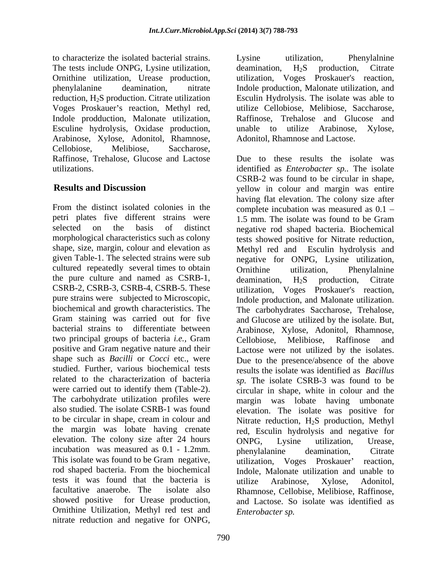to characterize the isolated bacterial strains. The tests include ONPG, Lysine utilization, deamination, H<sub>2</sub>S production, Citrate Ornithine utilization, Urease production, Voges Proskauer's reaction, Methyl red, Indole prodduction, Malonate utilization, Esculine hydrolysis, Oxidase production, Arabinose, Xylose, Adonitol, Rhamnose, Cellobiose, Melibiose, Saccharose, Raffinose, Trehalose, Glucose and Lactose

petri plates five different strains were 1.5 mm. The isolate was found to be Gram cultured repeatedly several times to obtain the pure culture and named as CSRB-1, deamination, H<sub>2</sub>S production. Citrate two principal groups of bacteria *i.e.,* Gram This isolate was found to be Gram negative, utilization, Voges Proskauer' reaction, tests it was found that the bacteria is utilize Arabinose, Xylose, Adonitol, Ornithine Utilization, Methyl red test and nitrate reduction and negative for ONPG,

phenylalanine deamination, nitrate Indole production, Malonate utilization, and reduction, H<sub>2</sub>S production. Citrate utilization Esculin Hydrolysis. The isolate was able to Lysine utilization, Phenylalnine deamination,  $H_2S$  production, Citrate Voges Proskauer's reaction, utilize Cellobiose, Melibiose, Saccharose, Raffinose, Trehalose and Glucose and utilize Arabinose, Xylose, Adonitol, Rhamnose and Lactose.

utilizations. identified as *Enterobacter sp..* The isolate **Results and Discussion** yellow in colour and margin was entire From the distinct isolated colonies in the complete incubation was measured as  $0.1$ selected on the basis of distinct negative rod shaped bacteria. Biochemical morphological characteristics such as colony tests showed positive for Nitrate reduction, shape, size, margin, colour and elevation as Methyl red and Esculin hydrolysis and given Table-1. The selected strains were sub negative for ONPG, Lysine utilization, CSRB-2, CSRB-3, CSRB-4, CSRB-5. These utilization, Voges Proskauer's reaction, pure strains were subjected to Microscopic, Indole production, and Malonate utilization. biochemical and growth characteristics. The The carbohydrates Saccharose, Trehalose, Gram staining was carried out for five and Glucose are utilized by the isolate. But, bacterial strains to differentiate between Arabinose, Xylose, Adonitol, Rhamnose, positive and Gram negative nature and their Lactose were not utilized by the isolates. shape such as *Bacilli* or *Cocci* etc., were Due to the presence/absence of the above studied. Further, various biochemical tests results the isolate was identified as *Bacillus*  related to the characterization of bacteria *sp.* The isolate CSRB-3 was found to be were carried out to identify them (Table-2). circular in shape, white in colour and the The carbohydrate utilization profiles were margin was lobate having umbonate also studied. The isolate CSRB-1 was found elevation. The isolate was positive for to be circular in shape, cream in colour and Nitrate reduction, H2S production, Methyl the margin was lobate having crenate red, Esculin hydrolysis and negative for elevation. The colony size after 24 hours incubation, Urease, incubation was measured as 0.1 - 1.2mm. Interpretational phenylalanine deamination, Citrate rod shaped bacteria. From the biochemical Indole, Malonate utilization and unable to facultative anaerobe. The isolate also Rhamnose, Cellobise, Melibiose, Raffinose, showed positive for Urease production, and Lactose. So isolate was identified as Due to these results the isolate was CSRB-2 was found to be circular in shape, having flat elevation. The colony size after 1.5 mm. The isolate was found to be Gram Ornithine utilization, Phenylalnine deamination,  $H_2S$  production, Citrate Cellobiose, Melibiose, Raffinose and ONPG, Lysine utilization, Urease, phenylalanine deamination, Citrate utilization, Voges Proskauer utilize Arabinose, Xylose, Adonitol, *Enterobacter sp.*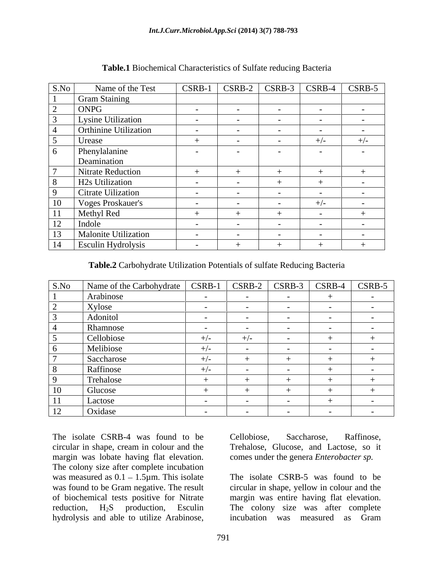| S.No           | Name of the Test             | CSRB-1        | $CSRB-2$                 | CSRB-3 | CSRB-4 | CSRB-5     |
|----------------|------------------------------|---------------|--------------------------|--------|--------|------------|
|                | <b>Gram Staining</b>         |               |                          |        |        |            |
|                | ONPG                         | $\sim$ $\sim$ | $\sim$                   |        |        | $ -$       |
|                | <b>Lysine Utilization</b>    | $\sim$ $-$    | $\sim$ $-$               | $\sim$ | $\sim$ | $\sim$ $-$ |
|                | <b>Orthinine Utilization</b> | $\sim$ $\sim$ | $\sim$                   | $\sim$ |        |            |
|                | Urease                       |               | $\sim$                   |        | $+/-$  | $+/-$      |
|                | Phenylalanine                |               |                          |        |        |            |
|                | Deamination                  |               |                          |        |        |            |
|                | Nitrate Reduction            |               |                          |        |        |            |
| 8 <sup>8</sup> | H <sub>2s</sub> Utilization  |               | $\sim$                   |        |        |            |
|                | Citrate Uilization           |               | $\overline{\phantom{0}}$ |        |        |            |
| $\frac{10}{1}$ | Voges Proskauer's            | $\sim$ $\sim$ | $\sim$                   |        | $+/-$  |            |
| 11             | Methyl Red                   |               |                          |        |        |            |
| 12             | Indole                       | $\sim$        | $\sim$                   |        | $\sim$ | $\sim$ $-$ |
| 13             | Malonite Utilization         |               |                          |        |        |            |
| 14             | <b>Esculin Hydrolysis</b>    |               |                          |        |        |            |

**Table.1** Biochemical Characteristics of Sulfate reducing Bacteria

**Table.2** Carbohydrate Utilization Potentials of sulfate Reducing Bacteria

| S.No                                | Name of the Carbohydrate   CSRB-1 |               | $\vert$ CSRB-2 $\vert$ CSRB-3 |               | $\sum$ CSRB-4 | $CSRB-5$                 |
|-------------------------------------|-----------------------------------|---------------|-------------------------------|---------------|---------------|--------------------------|
|                                     | Arabinose                         |               |                               | $\sim$ $-$    |               |                          |
|                                     | Xylose                            |               |                               |               |               |                          |
|                                     | Adonitol                          |               |                               |               |               |                          |
|                                     | Rhamnose                          | $\sim$        |                               | $\sim$        |               |                          |
|                                     | Cellobiose                        | $+/-$         | $+/-$                         | $\sim$ $\sim$ |               |                          |
| റ                                   | Melibiose                         | $+/-$         |                               |               |               |                          |
|                                     | Saccharose                        | $+/-$         |                               |               |               |                          |
| -8                                  | Raffinose                         | $+/-$         |                               |               |               |                          |
| - 0                                 | Trehalose                         |               |                               |               |               |                          |
| 10                                  | Glucose                           |               |                               |               |               |                          |
| the control of the control of<br>11 | Lactose                           |               |                               |               |               |                          |
| 12                                  | Oxidase                           | $\sim$ $\sim$ |                               |               |               | $\overline{\phantom{a}}$ |

The isolate CSRB-4 was found to be Cellobiose, Saccharose, Raffinose, circular in shape, cream in colour and the margin was lobate having flat elevation. The colony size after complete incubation was measured as  $0.1 - 1.5\mu$ m. This isolate was found to be Gram negative. The result circular in shape, yellow in colour and the of biochemical tests positive for Nitrate margin was entire having flat elevation. reduction, H<sub>2</sub>S production, Esculin The colony size was after complete The isolate CSRB-4 was found to be<br>
circular in shape, cream in colour and the<br>
margin was lobate having flat elevation.<br>
The colony size after complete incubation<br>
was measured as  $0.1 - 1.5\mu$ m. This isolate<br>
was found t

comes under the genera *Enterobacter sp.*

The isolate CSRB-5 was found to be incubation was measured as Gram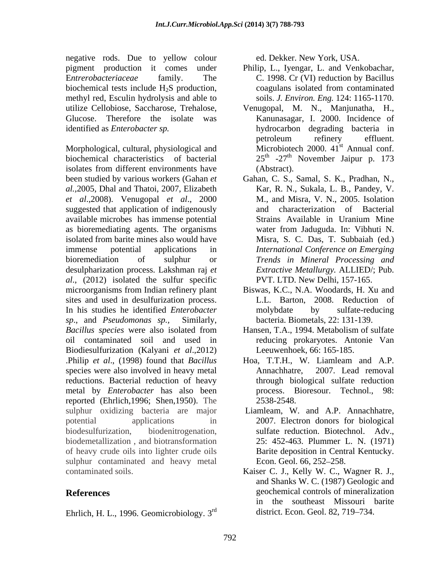negative rods. Due to yellow colour pigment production it comes under Philip, L., Iyengar, L. and Venkobachar, E*ntrerobacteriaceae* family. The C. 1998. Cr (VI) reduction by Bacillus biochemical tests include H<sub>2</sub>S production, coagulans isolated from contaminated methyl red, Esculin hydrolysis and able to Glucose. Therefore the isolate was

Morphological, cultural, physiological and biochemical characteristics of bacterial 25<sup>th</sup> -27<sup>th</sup> November Jaipur p. 173 isolates from different environments have (Abstract). been studied by various workers (Gahan *et*  Gahan, C. S., Samal, S. K., Pradhan, N., *al.,*2005, Dhal and Thatoi, 2007, Elizabeth *et al*.,2008). Venugopal *et al*., 2000 suggested that application of indigenously and available microbes has immense potential as bioremediating agents. The organisms isolated from barite mines also would have immense potential applications in *International Conference on Emerging* bioremediation of sulphur or *Trends in Mineral Processing and* desulpharization process. Lakshman raj *et al*., (2012) isolated the sulfur specific microorganisms from Indian refinery plant Biswas, K.C., N.A. Woodards, H. Xu and sites and used in desulfurization process. In his studies he identified *Enterobacter sp*., and *Pseudomonas sp.,* Similarly, bacteria. Biometals, 22: 131-139. *Bacillus species* were also isolated from oil contaminated soil and used in reducing prokaryotes. Antonie Van Biodiesulfurization (Kalyani *et al*.,2012) .Philip *et al*., (1998) found that *Bacillus* species were also involved in heavy metal **Annachastrical** Annachastrical 2007. Lead removal reductions. Bacterial reduction of heavy metal by *Enterobacter* has also been reported (Ehrlich,1996; Shen,1950). The sulphur oxidizing bacteria are major potential applications in 2007. Electron donors for biological biodesulfurization, biodenitrogenation, sulfate reduction. Biotechnol. Adv., biodemetallization , and biotransformation of heavy crude oils into lighter crude oils sulphur contaminated and heavy metal Econ. Geol. 66, 252–258. contaminated soils. Kaiser C. J., Kelly W. C., Wagner R. J.,

Ehrlich, H. L., 1996. Geomicrobiology. 3

ed. Dekker. New York, USA.

- coagulans isolated from contaminated soils. *J. Environ. Eng.* 124: 1165-1170.
- utilize Cellobiose, Saccharose, Trehalose, Venugopal, M. N., Manjunatha, H., identified as *Enterobacter sp.* hydrocarbon degrading bacteria in Kanunasagar, I. 2000. Incidence of petroleum refinery effluent. Microbiotech 2000.  $41<sup>st</sup>$  Annual conf. st Annual conf. (Abstract).
	- Kar, R. N., Sukala, L. B., Pandey, V. M., and Misra, V. N., 2005. Isolation characterization of Bacterial Strains Available in Uranium Mine water from Jaduguda. In: Vibhuti N. Misra, S. C. Das, T. Subbaiah (ed.) *Extractive Metallurgy.* ALLIED/; Pub. PVT. LTD. New Delhi, 157-165.
	- L.L. Barton, 2008. Reduction of molybdate by sulfate-reducing
	- Hansen, T.A., 1994. Metabolism of sulfate Leeuwenhoek, 66: 165-185.
	- Hoa, T.T.H., W. Liamleam and A.P. Annachhatre, 2007. Lead removal through biological sulfate reduction process. Bioresour. Technol., 98: 2538-2548.
	- Liamleam, W. and A.P. Annachhatre, 25: 452-463. Plummer L. N. (1971) Barite deposition in Central Kentucky. Econ. Geol. 66, 252–258.
- **References** geochemical controls of mineralization rd district. Econ. Geol. 82, 719 734.and Shanks W. C. (1987) Geologic and in the southeast Missouri barite